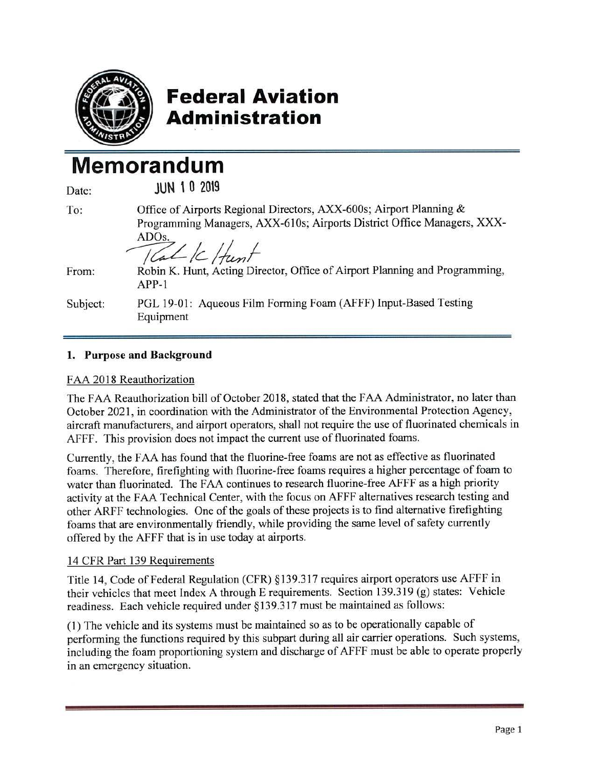

## **Federal Aviation Admioistration**

# **Memorandum**

| Date:    | <b>JUN 10 2019</b>                                                                                                                                                                |
|----------|-----------------------------------------------------------------------------------------------------------------------------------------------------------------------------------|
| To:      | Office of Airports Regional Directors, AXX-600s; Airport Planning &<br>Programming Managers, AXX-610s; Airports District Office Managers, XXX-<br>ADO <sub>s</sub> .<br>Talk Hunt |
| From:    | Robin K. Hunt, Acting Director, Office of Airport Planning and Programming,<br>$APP-1$                                                                                            |
| Subject: | PGL 19-01: Aqueous Film Forming Foam (AFFF) Input-Based Testing<br>Equipment                                                                                                      |

## **1. Purpose and Background**

## FAA 2018 Reauthorization

The FAA Reauthorization bill of October 2018, stated that the FAA Administrator, no later than October 2021, in coordination with the Administrator of the Environmental Protection Agency, aircraft manufacturers, and airport operators, shall not require the use of fluorinated chemicals in AFFF. This provision does not impact the current use of fluorinated foams.

Currently, the FAA has found that the fluorine-free foams are not as effective as fluorinated foams. Therefore, firefighting with fluorine-free foams requires a higher percentage of foam to water than fluorinated. The FAA continues to research fluorine-free AFFF as a high priority activity at the FAA Technical Center, with the focus on AFFF alternatives research testing and other ARFF technologies. One of the goals of these projects is to find alternative firefighting foams that are environmentally friendly, while providing the same level of safety currently offered by the AFFF that is in use today at airports.

## 14 CFR Part 139 Requirements

Title 14, Code of Federal Regulation (CFR) § I 39.3 17 requires airport operators use AFFF in their vehicles that meet Index A through E requirements. Section 139.319 (g) states: Vehicle readiness. Each vehicle required under§ 139.317 must be maintained as follows:

(1) The vehicle and its systems must be maintained so as to be operationally capable of performing the functions required by this subpart during all air carrier operations. Such systems, including the foam proportioning system and discharge of AFFF must be able to operate properly in an emergency situation.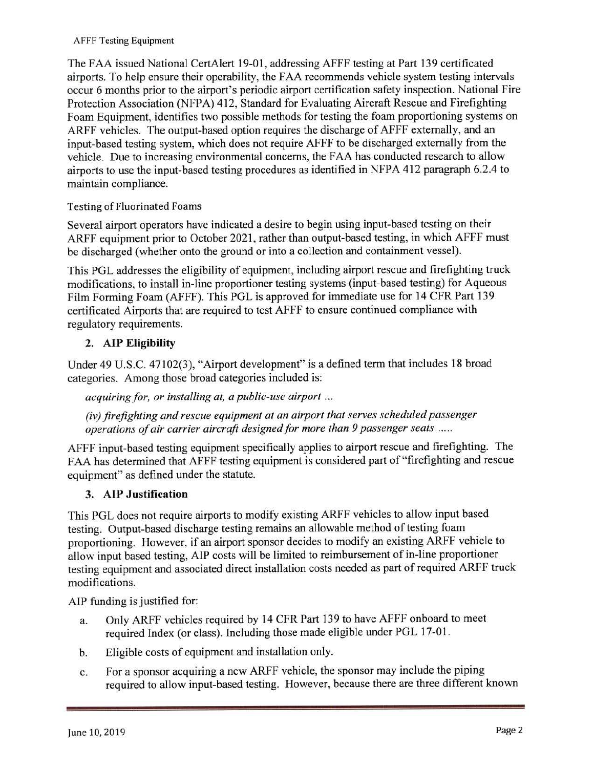#### AFFF Testing Equipment

The FAA issued National CertAlert l 9-01, addressing AFFF testing at Part 139 certificated airports. To help ensure their operability, the FAA recommends vehicle system testing intervals occur 6 months prior to the airport's periodic airport certification safety inspection. National Fire Protection Association (NFPA) 412, Standard for Evaluating Aircraft Rescue and Firefighting Foam Equipment, identifies two possible methods for testing the foam proportioning systems on ARFF vehicles. The output-based option requires the discharge of AFFF externally, and an input-based testing system, which does not require AFFF to be discharged externally from the vehicle. Due to increasing environmental concerns, the FAA has conducted research to allow airports to use the input-based testing procedures as identified in NFPA 412 paragraph 6.2.4 to maintain compliance.

## Testing of Fluorinated Foams

Several airport operators have indicated a desire to begin using input-based testing on their ARFF equipment prior to October 2021 , rather than output-based testing, in which AFFF must be discharged (whether onto the ground or into a collection and containment vessel).

This PGL addresses the eligibility of equipment, including airport rescue and firefighting truck modifications, to install in-line proportioner testing systems (input-based testing) for Aqueous Film Forming Foam (AFFF). This PGL is approved for immediate use for 14 CFR Part 139 certificated Airports that are required to test AFFF to ensure continued compliance with regulatory requirements.

## **2. AIP Eligibility**

Under 49 U.S.C. 47102(3), "Airport development" is a defined term that includes 18 broad categories. Among those broad categories included is:

*acquiring for, or installing at, a public-use airport* ...

*(iv) firefighting and rescue equipment at an airport that serves scheduled passenger operations of air carrier aircraft designed for more than 9 passenger seats* .....

AFFF input-based testing equipment specifically applies to airport rescue and firefighting. The FAA has determined that AFFF testing equipment is considered part of "firefighting and rescue equipment" as defined under the statute.

## **3. AIP Justification**

This PGL does not require airports to modify existing ARFF vehicles to allow input based testing. Output-based discharge testing remains an allowable method of testing foam proportioning. However, if an airport sponsor decides to modify an existing ARFF vehicle to allow input based testing, AIP costs will be limited to reimbursement of in-line proportioner testing equipment and associated direct installation costs needed as part of required ARFF truck modifications.

AIP funding is justified for:

- a. Only ARFF vehicles required by 14 CFR Part 139 to have AFFF onboard to meet required Index (or class). Including those made eligible under PGL 17-01.
- b. Eligible costs of equipment and installation only.
- c. For a sponsor acquiring a new ARFF vehicle, the sponsor may include the piping required to allow input-based testing. However, because there are three different known